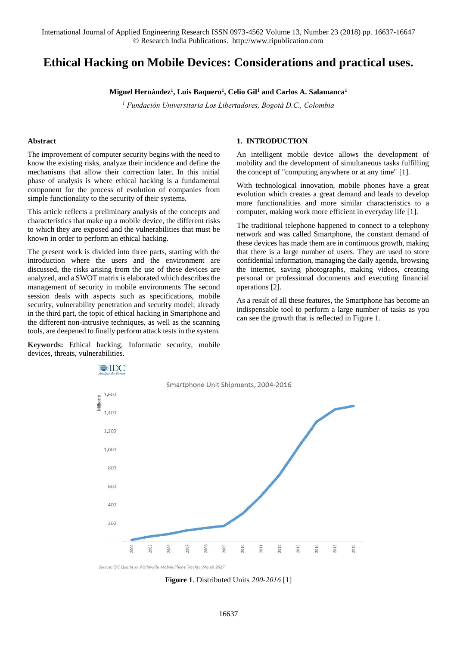# **Ethical Hacking on Mobile Devices: Considerations and practical uses.**

**Miguel Hernández<sup>1</sup> , Luis Baquero<sup>1</sup> , Celio Gil<sup>1</sup> and Carlos A. Salamanca<sup>1</sup>**

*1 Fundación Universitaria Los Libertadores, Bogotá D.C., Colombia* 

#### **Abstract**

The improvement of computer security begins with the need to know the existing risks, analyze their incidence and define the mechanisms that allow their correction later. In this initial phase of analysis is where ethical hacking is a fundamental component for the process of evolution of companies from simple functionality to the security of their systems.

This article reflects a preliminary analysis of the concepts and characteristics that make up a mobile device, the different risks to which they are exposed and the vulnerabilities that must be known in order to perform an ethical hacking.

The present work is divided into three parts, starting with the introduction where the users and the environment are discussed, the risks arising from the use of these devices are analyzed, and a SWOT matrix is elaborated which describes the management of security in mobile environments The second session deals with aspects such as specifications, mobile security, vulnerability penetration and security model; already in the third part, the topic of ethical hacking in Smartphone and the different non-intrusive techniques, as well as the scanning tools, are deepened to finally perform attack tests in the system.

**Keywords:** Ethical hacking, Informatic security, mobile devices, threats, vulnerabilities.

### **1. INTRODUCTION**

An intelligent mobile device allows the development of mobility and the development of simultaneous tasks fulfilling the concept of "computing anywhere or at any time" [1].

With technological innovation, mobile phones have a great evolution which creates a great demand and leads to develop more functionalities and more similar characteristics to a computer, making work more efficient in everyday life [1].

The traditional telephone happened to connect to a telephony network and was called Smartphone, the constant demand of these devices has made them are in continuous growth, making that there is a large number of users. They are used to store confidential information, managing the daily agenda, browsing the internet, saving photographs, making videos, creating personal or professional documents and executing financial operations [2].

As a result of all these features, the Smartphone has become an indispensable tool to perform a large number of tasks as you can see the growth that is reflected in Figure 1.



Source: IDC Quarterly Worldwide Mobile Phone Tracker, March 2017

**Figure 1**. Distributed Units *200-2016* [1]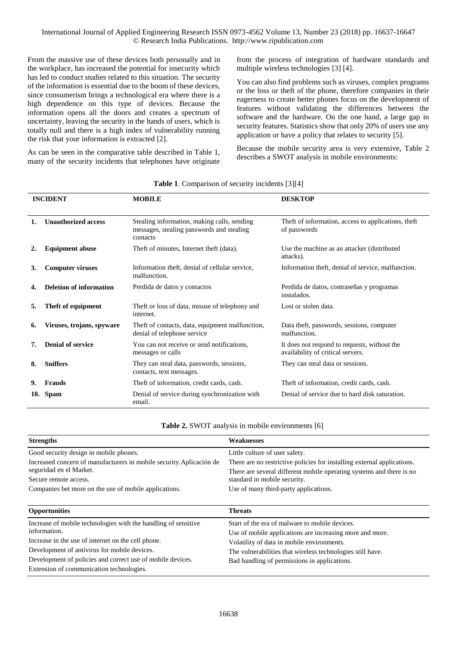From the massive use of these devices both personally and in the workplace, has increased the potential for insecurity which has led to conduct studies related to this situation. The security of the information is essential due to the boom of these devices, since consumerism brings a technological era where there is a high dependence on this type of devices. Because the information opens all the doors and creates a spectrum of uncertainty, leaving the security in the hands of users, which is totally null and there is a high index of vulnerability running the risk that your information is extracted [2].

As can be seen in the comparative table described in Table 1, many of the security incidents that telephones have originate from the process of integration of hardware standards and multiple wireless technologies [3] [4].

You can also find problems such as viruses, complex programs or the loss or theft of the phone, therefore companies in their eagerness to create better phones focus on the development of features without validating the differences between the software and the hardware. On the one hand, a large gap in security features. Statistics show that only 20% of users use any application or have a policy that relates to security [5].

Because the mobile security area is very extensive, Table 2 describes a SWOT analysis in mobile environments:

| <b>INCIDENT</b> |                                | <b>MOBILE</b>                                                                                        | <b>DESKTOP</b>                                                                    |  |  |
|-----------------|--------------------------------|------------------------------------------------------------------------------------------------------|-----------------------------------------------------------------------------------|--|--|
| 1.              | <b>Unauthorized access</b>     | Stealing information, making calls, sending<br>messages, stealing passwords and stealing<br>contacts | The ft of information, access to applications, the ft<br>of passwords             |  |  |
|                 | <b>Equipment abuse</b>         | Theft of minutes, Internet theft (data).                                                             | Use the machine as an attacker (distributed<br>attacks).                          |  |  |
| 3.              | <b>Computer viruses</b>        | Information theft, denial of cellular service,<br>malfunction.                                       | Information theft, denial of service, malfunction.                                |  |  |
| 4.              | <b>Deletion of information</b> | Perdida de datos y contactos                                                                         | Perdida de datos, contraseñas y programas<br>instalados.                          |  |  |
| 5.              | Theft of equipment             | The ft or loss of data, misuse of telephony and<br>internet.                                         | Lost or stolen data.                                                              |  |  |
| 6.              | Viruses, trojans, spyware      | The ft of contacts, data, equipment malfunction,<br>denial of telephone service                      | Data theft, passwords, sessions, computer<br>malfunction.                         |  |  |
| 7.              | <b>Denial of service</b>       | You can not receive or send notifications,<br>messages or calls                                      | It does not respond to requests, without the<br>availability of critical servers. |  |  |
| 8.              | <b>Sniffers</b>                | They can steal data, passwords, sessions,<br>contacts, text messages.                                | They can steal data or sessions.                                                  |  |  |
| 9.              | <b>Frauds</b>                  | Theft of information, credit cards, cash.                                                            | Theft of information, credit cards, cash.                                         |  |  |
| 10.             | <b>Spam</b>                    | Denial of service during synchronization with<br>email.                                              | Denial of service due to hard disk saturation.                                    |  |  |

**Table 1**. Comparison of security incidents [3][4]

**Table 2.** SWOT analysis in mobile environments [6]

| <b>Strengths</b>                                                     | Weaknesses                                                                                           |  |  |  |
|----------------------------------------------------------------------|------------------------------------------------------------------------------------------------------|--|--|--|
| Good security design in mobile phones.                               | Little culture of user safety.                                                                       |  |  |  |
| Increased concern of manufacturers in mobile security. Aplicación de | There are no restrictive policies for installing external applications.                              |  |  |  |
| seguridad en el Market.                                              | There are several different mobile operating systems and there is no<br>standard in mobile security. |  |  |  |
| Secure remote access.                                                |                                                                                                      |  |  |  |
| Companies bet more on the use of mobile applications.                | Use of many third-party applications.                                                                |  |  |  |
| <b>Opportunities</b>                                                 | <b>Threats</b>                                                                                       |  |  |  |
| Increase of mobile technologies with the handling of sensitive       | Start of the era of malware to mobile devices.                                                       |  |  |  |
| information.                                                         | Use of mobile applications are increasing more and more.                                             |  |  |  |
| Increase in the use of internet on the cell phone.                   | Volatility of data in mobile environments.                                                           |  |  |  |
| Development of antivirus for mobile devices.                         | The vulnerabilities that wireless technologies still have.                                           |  |  |  |
| Development of policies and correct use of mobile devices.           | Bad handling of permissions in applications.                                                         |  |  |  |
| Extension of communication technologies.                             |                                                                                                      |  |  |  |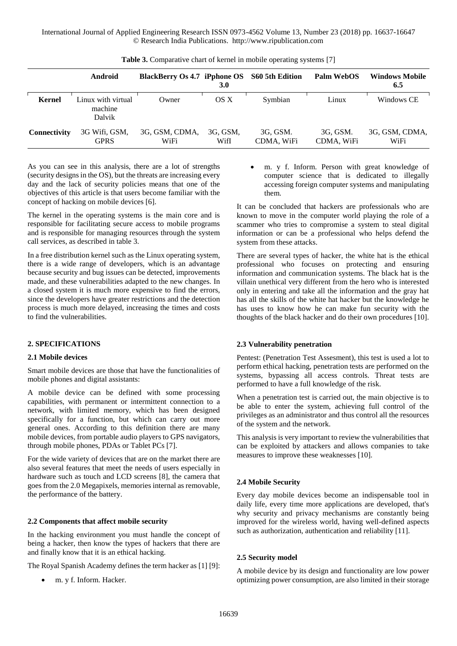|                     | <b>Android</b>                          | BlackBerry Os 4.7 iPphone OS S60 5th Edition | 3.0              |                        | Palm WebOS             | <b>Windows Mobile</b><br>6.5 |
|---------------------|-----------------------------------------|----------------------------------------------|------------------|------------------------|------------------------|------------------------------|
| <b>Kernel</b>       | Linux with virtual<br>machine<br>Dalvik | Owner                                        | OS X             | Symbian                | Linux                  | Windows CE                   |
| <b>Connectivity</b> | 3G Wifi, GSM,<br><b>GPRS</b>            | 3G, GSM, CDMA,<br>WiFi                       | 3G, GSM,<br>WifI | 3G, GSM.<br>CDMA, WiFi | 3G, GSM.<br>CDMA, WiFi | 3G, GSM, CDMA,<br>WiFi       |

**Table 3.** Comparative chart of kernel in mobile operating systems [7]

As you can see in this analysis, there are a lot of strengths (security designs in the OS), but the threats are increasing every day and the lack of security policies means that one of the objectives of this article is that users become familiar with the concept of hacking on mobile devices [6].

The kernel in the operating systems is the main core and is responsible for facilitating secure access to mobile programs and is responsible for managing resources through the system call services, as described in table 3.

In a free distribution kernel such as the Linux operating system, there is a wide range of developers, which is an advantage because security and bug issues can be detected, improvements made, and these vulnerabilities adapted to the new changes. In a closed system it is much more expensive to find the errors, since the developers have greater restrictions and the detection process is much more delayed, increasing the times and costs to find the vulnerabilities.

# **2. SPECIFICATIONS**

#### **2.1 Mobile devices**

Smart mobile devices are those that have the functionalities of mobile phones and digital assistants:

A mobile device can be defined with some processing capabilities, with permanent or intermittent connection to a network, with limited memory, which has been designed specifically for a function, but which can carry out more general ones. According to this definition there are many mobile devices, from portable audio players to GPS navigators, through mobile phones, PDAs or Tablet PCs [7].

For the wide variety of devices that are on the market there are also several features that meet the needs of users especially in hardware such as touch and LCD screens [8], the camera that goes from the 2.0 Megapixels, memories internal as removable, the performance of the battery.

#### **2.2 Components that affect mobile security**

In the hacking environment you must handle the concept of being a hacker, then know the types of hackers that there are and finally know that it is an ethical hacking.

The Royal Spanish Academy defines the term hacker as [1] [9]:

m. y f. Inform. Hacker.

 m. y f. Inform. Person with great knowledge of computer science that is dedicated to illegally accessing foreign computer systems and manipulating them.

It can be concluded that hackers are professionals who are known to move in the computer world playing the role of a scammer who tries to compromise a system to steal digital information or can be a professional who helps defend the system from these attacks.

There are several types of hacker, the white hat is the ethical professional who focuses on protecting and ensuring information and communication systems. The black hat is the villain unethical very different from the hero who is interested only in entering and take all the information and the gray hat has all the skills of the white hat hacker but the knowledge he has uses to know how he can make fun security with the thoughts of the black hacker and do their own procedures [10].

#### **2.3 Vulnerability penetration**

Pentest: (Penetration Test Assesment), this test is used a lot to perform ethical hacking, penetration tests are performed on the systems, bypassing all access controls. Threat tests are performed to have a full knowledge of the risk.

When a penetration test is carried out, the main objective is to be able to enter the system, achieving full control of the privileges as an administrator and thus control all the resources of the system and the network.

This analysis is very important to review the vulnerabilities that can be exploited by attackers and allows companies to take measures to improve these weaknesses [10].

### **2.4 Mobile Security**

Every day mobile devices become an indispensable tool in daily life, every time more applications are developed, that's why security and privacy mechanisms are constantly being improved for the wireless world, having well-defined aspects such as authorization, authentication and reliability [11].

# **2.5 Security model**

A mobile device by its design and functionality are low power optimizing power consumption, are also limited in their storage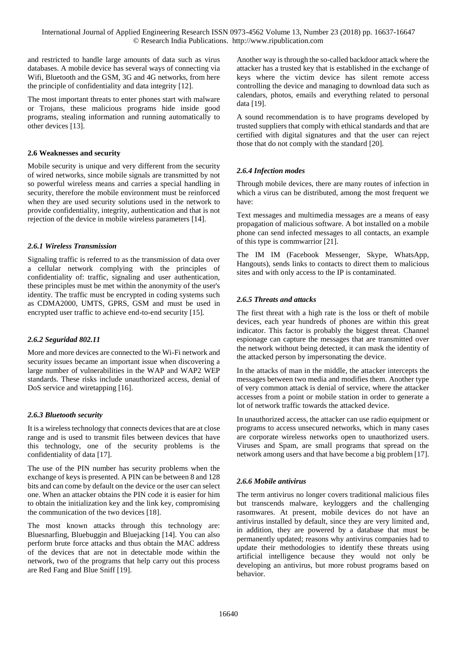and restricted to handle large amounts of data such as virus databases. A mobile device has several ways of connecting via Wifi, Bluetooth and the GSM, 3G and 4G networks, from here the principle of confidentiality and data integrity [12].

The most important threats to enter phones start with malware or Trojans, these malicious programs hide inside good programs, stealing information and running automatically to other devices [13].

# **2.6 Weaknesses and security**

Mobile security is unique and very different from the security of wired networks, since mobile signals are transmitted by not so powerful wireless means and carries a special handling in security, therefore the mobile environment must be reinforced when they are used security solutions used in the network to provide confidentiality, integrity, authentication and that is not rejection of the device in mobile wireless parameters [14].

# *2.6.1 Wireless Transmission*

Signaling traffic is referred to as the transmission of data over a cellular network complying with the principles of confidentiality of: traffic, signaling and user authentication, these principles must be met within the anonymity of the user's identity. The traffic must be encrypted in coding systems such as CDMA2000, UMTS, GPRS, GSM and must be used in encrypted user traffic to achieve end-to-end security [15].

#### *2.6.2 Seguridad 802.11*

More and more devices are connected to the Wi-Fi network and security issues became an important issue when discovering a large number of vulnerabilities in the WAP and WAP2 WEP standards. These risks include unauthorized access, denial of DoS service and wiretapping [16].

# *2.6.3 Bluetooth security*

It is a wireless technology that connects devices that are at close range and is used to transmit files between devices that have this technology, one of the security problems is the confidentiality of data [17].

The use of the PIN number has security problems when the exchange of keys is presented. A PIN can be between 8 and 128 bits and can come by default on the device or the user can select one. When an attacker obtains the PIN code it is easier for him to obtain the initialization key and the link key, compromising the communication of the two devices [18].

The most known attacks through this technology are: Bluesnarfing, Bluebuggin and Bluejacking [14]. You can also perform brute force attacks and thus obtain the MAC address of the devices that are not in detectable mode within the network, two of the programs that help carry out this process are Red Fang and Blue Sniff [19].

Another way is through the so-called backdoor attack where the attacker has a trusted key that is established in the exchange of keys where the victim device has silent remote access controlling the device and managing to download data such as calendars, photos, emails and everything related to personal data [19].

A sound recommendation is to have programs developed by trusted suppliers that comply with ethical standards and that are certified with digital signatures and that the user can reject those that do not comply with the standard [20].

# *2.6.4 Infection modes*

Through mobile devices, there are many routes of infection in which a virus can be distributed, among the most frequent we have:

Text messages and multimedia messages are a means of easy propagation of malicious software. A bot installed on a mobile phone can send infected messages to all contacts, an example of this type is commwarrior [21].

The IM IM (Facebook Messenger, Skype, WhatsApp, Hangouts), sends links to contacts to direct them to malicious sites and with only access to the IP is contaminated.

# *2.6.5 Threats and attacks*

The first threat with a high rate is the loss or theft of mobile devices, each year hundreds of phones are within this great indicator. This factor is probably the biggest threat. Channel espionage can capture the messages that are transmitted over the network without being detected, it can mask the identity of the attacked person by impersonating the device.

In the attacks of man in the middle, the attacker intercepts the messages between two media and modifies them. Another type of very common attack is denial of service, where the attacker accesses from a point or mobile station in order to generate a lot of network traffic towards the attacked device.

In unauthorized access, the attacker can use radio equipment or programs to access unsecured networks, which in many cases are corporate wireless networks open to unauthorized users. Viruses and Spam, are small programs that spread on the network among users and that have become a big problem [17].

# *2.6.6 Mobile antivirus*

The term antivirus no longer covers traditional malicious files but transcends malware, keyloggers and the challenging rasomwares. At present, mobile devices do not have an antivirus installed by default, since they are very limited and, in addition, they are powered by a database that must be permanently updated; reasons why antivirus companies had to update their methodologies to identify these threats using artificial intelligence because they would not only be developing an antivirus, but more robust programs based on behavior.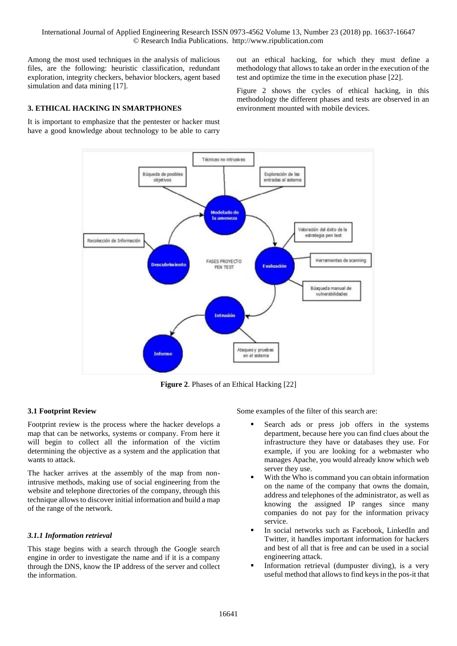Among the most used techniques in the analysis of malicious files, are the following: heuristic classification, redundant exploration, integrity checkers, behavior blockers, agent based simulation and data mining [17].

# **3. ETHICAL HACKING IN SMARTPHONES**

It is important to emphasize that the pentester or hacker must have a good knowledge about technology to be able to carry out an ethical hacking, for which they must define a methodology that allows to take an order in the execution of the test and optimize the time in the execution phase [22].

Figure 2 shows the cycles of ethical hacking, in this methodology the different phases and tests are observed in an environment mounted with mobile devices.



**Figure 2**. Phases of an Ethical Hacking [22]

#### **3.1 Footprint Review**

Footprint review is the process where the hacker develops a map that can be networks, systems or company. From here it will begin to collect all the information of the victim determining the objective as a system and the application that wants to attack.

The hacker arrives at the assembly of the map from nonintrusive methods, making use of social engineering from the website and telephone directories of the company, through this technique allows to discover initial information and build a map of the range of the network.

#### *3.1.1 Information retrieval*

This stage begins with a search through the Google search engine in order to investigate the name and if it is a company through the DNS, know the IP address of the server and collect the information.

Some examples of the filter of this search are:

- Search ads or press job offers in the systems department, because here you can find clues about the infrastructure they have or databases they use. For example, if you are looking for a webmaster who manages Apache, you would already know which web server they use.
- With the Who is command you can obtain information on the name of the company that owns the domain, address and telephones of the administrator, as well as knowing the assigned IP ranges since many companies do not pay for the information privacy service.
- In social networks such as Facebook, LinkedIn and Twitter, it handles important information for hackers and best of all that is free and can be used in a social engineering attack.
- Information retrieval (dumpuster diving), is a very useful method that allows to find keys in the pos-it that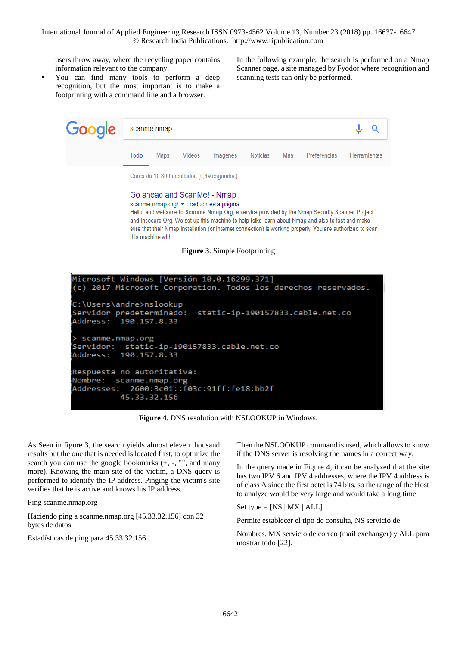users throw away, where the recycling paper contains information relevant to the company.

 You can find many tools to perform a deep recognition, but the most important is to make a footprinting with a command line and a browser.

In the following example, the search is performed on a Nmap Scanner page, a site managed by Fyodor where recognition and scanning tests can only be performed.

| <b>Google</b> scanme nmap                  |             |      |        |          |          |     |              |                     |  |
|--------------------------------------------|-------------|------|--------|----------|----------|-----|--------------|---------------------|--|
|                                            | <b>Todo</b> | Maps | Vídeos | Imágenes | Noticias | Más | Preferencias | <b>Herramientas</b> |  |
| Cerca de 10.800 resultados (0,39 segundos) |             |      |        |          |          |     |              |                     |  |

# Go ahead and ScanMe! - Nmap

scanme.nmap.org/ • Traducir esta página

Hello, and welcome to Scanme. Nmap. Org, a service provided by the Nmap Security Scanner Project and Insecure. Org. We set up this machine to help folks learn about Nmap and also to test and make sure that their Nmap installation (or Internet connection) is working properly. You are authorized to scan this machine with

**Figure 3**. Simple Footprinting



**Figure 4**. DNS resolution with NSLOOKUP in Windows.

As Seen in figure 3, the search yields almost eleven thousand results but the one that is needed is located first, to optimize the search you can use the google bookmarks (+, -, "", and many more). Knowing the main site of the victim, a DNS query is performed to identify the IP address. Pinging the victim's site verifies that he is active and knows his IP address.

Ping scanme.nmap.org

Haciendo ping a scanme.nmap.org [45.33.32.156] con 32 bytes de datos:

Estadísticas de ping para 45.33.32.156

Then the NSLOOKUP command is used, which allows to know if the DNS server is resolving the names in a correct way.

In the query made in Figure 4, it can be analyzed that the site has two IPV 6 and IPV 4 addresses, where the IPV 4 address is of class A since the first octet is 74 bits, so the range of the Host to analyze would be very large and would take a long time.

Set type  $=$  [NS | MX | ALL]

Permite establecer el tipo de consulta, NS servicio de

Nombres, MX servicio de correo (mail exchanger) y ALL para mostrar todo [22].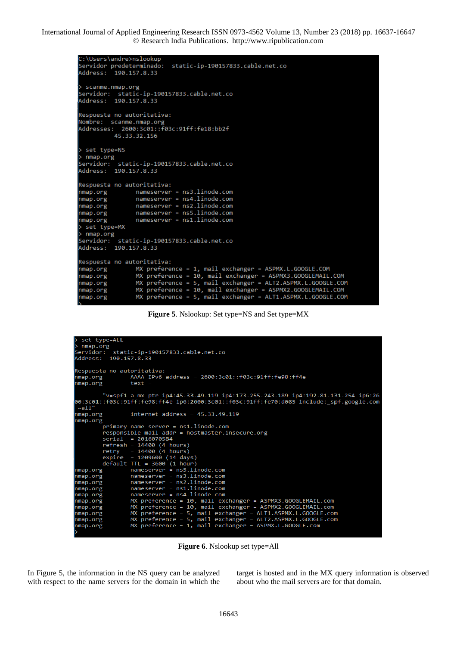```
C:\Users\andre>nslookup
Servidor predeterminado: static-ip-190157833.cable.net.co
Address:
          190.157.8.33
> scanme.nmap.org
Servidor: static-ip-190157833.cable.net.co
Address: 190.157.8.33
Respuesta no autoritativa:
Nombre: scanme.nmap.org
Addresses: 2600:3c01::f03c:91ff:fe18:bb2f
          45.33.32.156
 set type=NS
> nmap.org
Servidor: static-ip-1<br>Address: 190.157.8.33
           static-ip-190157833.cable.net.co
Respuesta no autoritativa:
nmap.org
                nameserver = ns3.linode.com
                 nameserver = ns4.linode.com
nmap.org
                 nameserver = ns2.linode.com
nmap.org
                 nameserver = ns5.linode.com
nmap.org
                 nameserver = ns1.linode.com
nmap.org
> set type=MX
> nmap.org
Servidor:
           static-ip-190157833.cable.net.co
Address: 190.157.8.33
Respuesta no autoritativa:
nmap.org
                 MX preference = 1, mail exchanger = ASPMX.L.GOOGLE.COM
                 MX preference = 10, mail exchanger = ASPMX3.GOOGLEMAIL.COM<br>MX preference = 5, mail exchanger = ALT2.ASPMX.L.GOOGLE.COM
nmap.org
nmap.org
                 MX preference = 10, mail exchanger = ASPMX2.GOOGLEMAIL.COM
nmap.org
                 MX preference = 5, mail exchanger = ALT1.ASPMX.L.GOOGLE.COM
nmap.org
```
**Figure 5**. Nslookup: Set type=NS and Set type=MX

```
set type=ALL
> nmap.org
                 static-ip-190157833.cable.net.co
Servidor: static-ip-1<br>Address: 190.157.8.33
Respuesta no autoritativa:
                         AAAA IPv6 address = 2600:3c01::f03c:91ff:fe98:ff4e
nmap.org
nmap.org
                           text
v=spf1 a mx ptr ip4:45.33.49.119 ip4:173.255.243.189 ip4:192.81.131.254 ip6:26"<br>00:3c01::f03c:91ff:fe98:ff4e ip6:2600:3c01::f03c:91ff:fe70:d085 include:_spf.google.com
~\simall'
nmap.org
                          internet address = 45.33.49.119nmap.org
            primary name server = ns1.linode.com<br>responsible mail addr = hostmaster.insecure.org
             serial = 2016070584
            refresh = 14400 (4 hours)<br>
refry = 14400 (4 hours)<br>
expire = 1209600 (14 day)nmap.org
                          nameserver = ns3.linode.com
nmap.org
                          nameserver = nss.innode.com<br>nameserver = ns1.linode.com<br>nameserver = ns4.linode.com<br>nameserver = ns4.linode.com
nmap.org
nmap.org
nmap.org
                         MX preference = 10, mail exchanger = ASPMX3.GOOGLEMAIL.com<br>MX preference = 10, mail exchanger = ASPMX2.GOOGLEMAIL.com<br>MX preference = 5, mail exchanger = ALT1.ASPMX.L.GOOGLE.com<br>MX preference = 5, mail exchanger = ALT1.ASP
nmap.org
nmap.org
nmap.org
nmap.org
nmap.org
```
**Figure 6**. Nslookup set type=All

In Figure 5, the information in the NS query can be analyzed with respect to the name servers for the domain in which the target is hosted and in the MX query information is observed about who the mail servers are for that domain.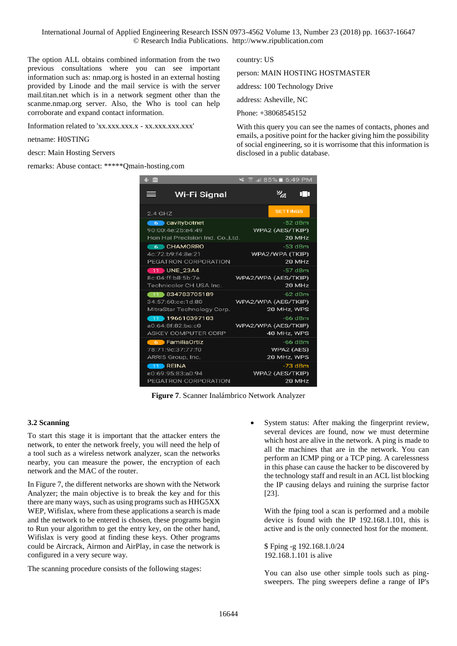The option ALL obtains combined information from the two previous consultations where you can see important information such as: nmap.org is hosted in an external hosting provided by Linode and the mail service is with the server mail.titan.net which is in a network segment other than the scanme.nmap.org server. Also, the Who is tool can help corroborate and expand contact information.

Information related to 'xx.xxx.xxx.x - xx.xxx.xxx.xxx'

#### netname: H0STING

descr: Main Hosting Servers

remarks: Abuse contact: \*\*\*\*\*Qmain-hosting.com

country: US

person: MAIN HOSTING HOSTMASTER

address: 100 Technology Drive

address: Asheville, NC

Phone: +38068545152

With this query you can see the names of contacts, phones and emails, a positive point for the hacker giving him the possibility of social engineering, so it is worrisome that this information is disclosed in a public database.

| 8 G                             | ⊿I85% T6:49 PM                       |
|---------------------------------|--------------------------------------|
| Wi-Fi Signal                    | $\mathscr{D}_{\mathscr{C}_{\alpha}}$ |
| ≡                               | пп                                   |
| $2.4$ GHZ                       | <b>SETTINGS</b>                      |
| 6 cavitybotnet                  | -52 dBm                              |
| 90:00:4e:2b:e4:49               | WPA2 (AES/TKIP)                      |
| Hon Hai Precision Ind. Co.,Ltd. | 20 MHz                               |
| 6 CHAMORRO                      | -53 dBm                              |
| 4c:72:b9:f4:8e:21               | WPA2/WPA (TKIP)                      |
| PEGATRON CORPORATION            | 20 MHz                               |
| 11 UNE 23A4                     | $-57$ dBm                            |
| 8c:04:ff:b8:5b:7e               | WPA2/WPA (AES/TKIP)                  |
| Technicolor CH USA Inc.         | 20 MHz                               |
| 11 834783705189                 | $-62$ dBm                            |
| 34:57:60:ce:1d:80               | WPA2/WPA (AES/TKIP)                  |
| MitraStar Technology Corp.      | 20 MHz, WPS                          |
| $\Box$ 196610397103             | $-66$ dBm                            |
| a0:64:8f:82:bc:c0               | WPA2/WPA (AES/TKIP)                  |
| ASKEY COMPUTER CORP             | 40 MHz, WPS                          |
| 6 FamiliaOrtiz                  | $-66$ dBm                            |
| 78:71:9c:37:77:f0               | WPA2 (AES)                           |
| ARRIS Group, Inc.               | 20 MHz, WPS                          |
| $-11$ REINA                     | -73 dBm                              |
| e0:69:95:83:a0:94               | WPA2 (AES/TKIP)                      |
| PEGATRON CORPORATION            | 20 MHz                               |

**Figure 7**. Scanner Inalámbrico Network Analyzer

#### **3.2 Scanning**

To start this stage it is important that the attacker enters the network, to enter the network freely, you will need the help of a tool such as a wireless network analyzer, scan the networks nearby, you can measure the power, the encryption of each network and the MAC of the router.

In Figure 7, the different networks are shown with the Network Analyzer; the main objective is to break the key and for this there are many ways, such as using programs such as HHG5XX WEP, Wifislax, where from these applications a search is made and the network to be entered is chosen, these programs begin to Run your algorithm to get the entry key, on the other hand, Wifislax is very good at finding these keys. Other programs could be Aircrack, Airmon and AirPlay, in case the network is configured in a very secure way.

The scanning procedure consists of the following stages:

 System status: After making the fingerprint review, several devices are found, now we must determine which host are alive in the network. A ping is made to all the machines that are in the network. You can perform an ICMP ping or a TCP ping. A carelessness in this phase can cause the hacker to be discovered by the technology staff and result in an ACL list blocking the IP causing delays and ruining the surprise factor [23].

With the fping tool a scan is performed and a mobile device is found with the IP 192.168.1.101, this is active and is the only connected host for the moment.

\$ Fping -g 192.168.1.0/24 192.168.1.101 is alive

You can also use other simple tools such as pingsweepers. The ping sweepers define a range of IP's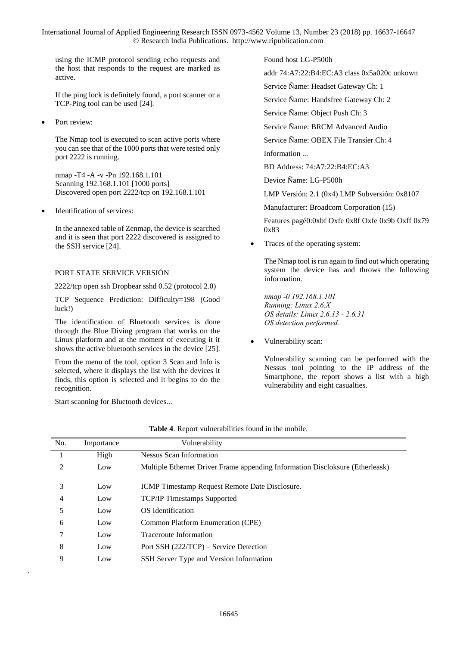using the ICMP protocol sending echo requests and the host that responds to the request are marked as active.

If the ping lock is definitely found, a port scanner or a TCP-Ping tool can be used [24].

Port review:

The Nmap tool is executed to scan active ports where you can see that of the 1000 ports that were tested only port 2222 is running.

nmap -T4 -A -v -Pn 192.168.1.101 Scanning 192.168.1.101 [1000 ports] Discovered open port 2222/tcp on 192.168.1.101

Identification of services:

In the annexed table of Zenmap, the device is searched and it is seen that port 2222 discovered is assigned to the SSH service [24].

# PORT STATE SERVICE VERSIÓN

2222/tcp open ssh Dropbear sshd 0.52 (protocol 2.0)

TCP Sequence Prediction: Difficulty=198 (Good luck!)

The identification of Bluetooth services is done through the Blue Diving program that works on the Linux platform and at the moment of executing it it shows the active bluetooth services in the device [25].

From the menu of the tool, option 3 Scan and Info is selected, where it displays the list with the devices it finds, this option is selected and it begins to do the recognition.

Start scanning for Bluetooth devices...

.

Found host LG-P500h

addr 74:A7:22:B4:EC:A3 class 0x5a020c unkown

Service Ñame: Headset Gateway Ch: 1

Service Ñame: Handsfree Gateway Ch: 2

Service Ñame: Object Push Ch: 3

Service Ñame: BRCM Advanced Audio

Service Ñame: OBEX File Transíer Ch: 4 Information ...

BD Address: 74:A7:22:B4:EC:A3

Device Ñame: LG-P500h

LMP Versión: 2.1 (0x4) LMP Subversión: 0x8107

Manufacturer: Broadcom Corporation (15)

Features pagé0:0xbf Oxfe 0x8f Oxfe 0x9b Oxff 0x79 0x83

Traces of the operating system:

The Nmap tool is run again to find out which operating system the device has and throws the following information.

*nmap -0 192.168.1.101 Running: Linux 2.6.X OS details: Linux 2.6.13 - 2.6.31 OS detection performed.* 

Vulnerability scan:

Vulnerability scanning can be performed with the Nessus tool pointing to the IP address of the Smartphone, the report shows a list with a high vulnerability and eight casualties.

| No. | Importance | Vulnerability                                                                 |
|-----|------------|-------------------------------------------------------------------------------|
|     | High       | <b>Nessus Scan Information</b>                                                |
| 2   | Low        | Multiple Ethernet Driver Frame appending Information Discloksure (Etherleask) |
| 3   | Low        | ICMP Timestamp Request Remote Date Disclosure.                                |
| 4   | Low        | <b>TCP/IP Timestamps Supported</b>                                            |
| 5   | Low        | OS Identification                                                             |
| 6   | Low        | Common Platform Enumeration (CPE)                                             |
|     | Low        | Traceroute Information                                                        |
| 8   | Low        | Port SSH (222/TCP) – Service Detection                                        |
| 9   | Low        | SSH Server Type and Version Information                                       |

| Table 4. Report vulnerabilities found in the mobile. |  |
|------------------------------------------------------|--|
|------------------------------------------------------|--|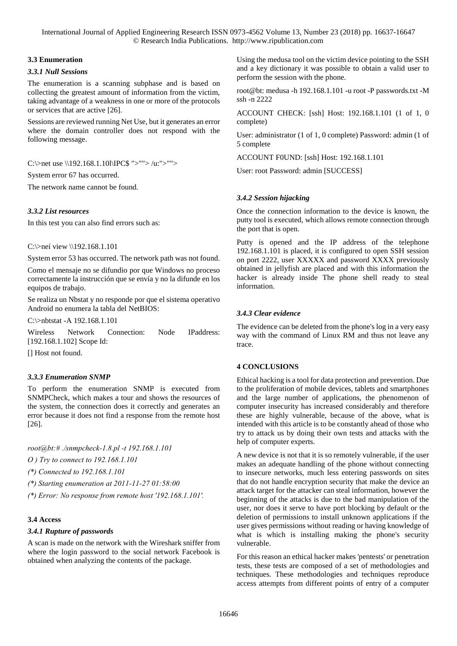# **3.3 Enumeration**

# *3.3.1 Null Sessions*

The enumeration is a scanning subphase and is based on collecting the greatest amount of information from the victim, taking advantage of a weakness in one or more of the protocols or services that are active [26].

Sessions are reviewed running Net Use, but it generates an error where the domain controller does not respond with the following message.

C:\>net use \\192.168.1.10l\IPC\$ ">""> /u:">"">

System error 67 has occurred.

The network name cannot be found.

# *3.3.2 List resources*

In this test you can also find errors such as:

C:\>neí view \\192.168.1.101

System error 53 has occurred. The network path was not found.

Como el mensaje no se difundio por que Windows no proceso correctamente la instrucción que se envía y no la difunde en los equipos de trabajo.

Se realiza un Nbstat y no responde por que el sistema operativo Android no enumera la tabla del NetBIOS:

C:\>nbtstat -A 192.168.1.101

Wireless Network Connection: Node IPaddress: [192.168.1.102] Scope Id:

[] Host not found.

# *3.3.3 Enumeration SNMP*

To perform the enumeration SNMP is executed from SNMPCheck, which makes a tour and shows the resources of the system, the connection does it correctly and generates an error because it does not find a response from the remote host [26].

*root@bt:# ./snmpcheck-1.8.pl -t 192.168.1.101* 

*O ) Try to connect to 192.168.1.101* 

*(\*) Connected to 192.168.1.101* 

*(\*) Starting enumeration at 2011-11-27 01:58:00* 

*(\*) Error: No response from remote host '192.168.1.101'.* 

# **3.4 Access**

#### *3.4.1 Rupture of passwords*

A scan is made on the network with the Wireshark sniffer from where the login password to the social network Facebook is obtained when analyzing the contents of the package.

Using the medusa tool on the victim device pointing to the SSH and a key dictionary it was possible to obtain a valid user to perform the session with the phone.

root@bt: medusa -h 192.168.1.101 -u root -P passwords.txt -M ssh -n 2222

ACCOUNT CHECK: [ssh] Host: 192.168.1.101 (1 of 1, 0 complete)

User: administrator (1 of 1, 0 complete) Password: admin (1 of 5 complete

ACCOUNT F0UND: [ssh] Host: 192.168.1.101

User: root Password: admin [SUCCESS]

# *3.4.2 Session hijacking*

Once the connection information to the device is known, the putty tool is executed, which allows remote connection through the port that is open.

Putty is opened and the IP address of the telephone 192.168.1.101 is placed, it is configured to open SSH session on port 2222, user XXXXX and password XXXX previously obtained in jellyfish are placed and with this information the hacker is already inside The phone shell ready to steal information.

# *3.4.3 Clear evidence*

The evidence can be deleted from the phone's log in a very easy way with the command of Linux RM and thus not leave any trace.

# **4 CONCLUSIONS**

Ethical hacking is a tool for data protection and prevention. Due to the proliferation of mobile devices, tablets and smartphones and the large number of applications, the phenomenon of computer insecurity has increased considerably and therefore these are highly vulnerable, because of the above, what is intended with this article is to be constantly ahead of those who try to attack us by doing their own tests and attacks with the help of computer experts.

A new device is not that it is so remotely vulnerable, if the user makes an adequate handling of the phone without connecting to insecure networks, much less entering passwords on sites that do not handle encryption security that make the device an attack target for the attacker can steal information, however the beginning of the attacks is due to the bad manipulation of the user, nor does it serve to have port blocking by default or the deletion of permissions to install unknown applications if the user gives permissions without reading or having knowledge of what is which is installing making the phone's security vulnerable.

For this reason an ethical hacker makes 'pentests' or penetration tests, these tests are composed of a set of methodologies and techniques. These methodologies and techniques reproduce access attempts from different points of entry of a computer